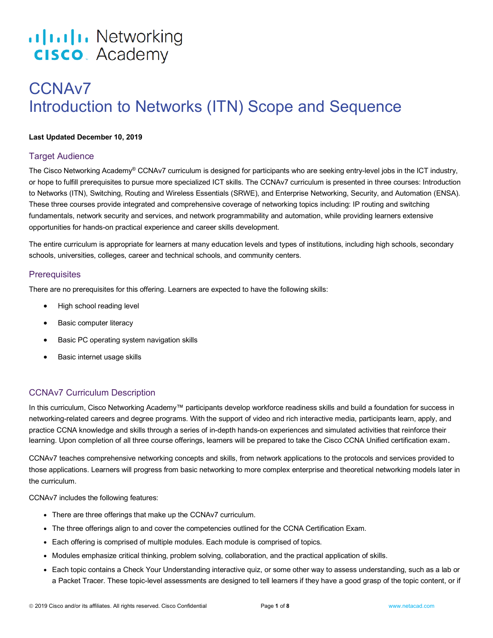# .**1|1.1|1.** Networking **CISCO**. Academy

# CCNAv7 Introduction to Networks (ITN) Scope and Sequence

#### **Last Updated December 10, 2019**

## Target Audience

The Cisco Networking Academy® CCNAv7 curriculum is designed for participants who are seeking entry-level jobs in the ICT industry, or hope to fulfill prerequisites to pursue more specialized ICT skills. The CCNAv7 curriculum is presented in three courses: Introduction to Networks (ITN), Switching, Routing and Wireless Essentials (SRWE), and Enterprise Networking, Security, and Automation (ENSA). These three courses provide integrated and comprehensive coverage of networking topics including: IP routing and switching fundamentals, network security and services, and network programmability and automation, while providing learners extensive opportunities for hands-on practical experience and career skills development.

The entire curriculum is appropriate for learners at many education levels and types of institutions, including high schools, secondary schools, universities, colleges, career and technical schools, and community centers.

## **Prerequisites**

There are no prerequisites for this offering. Learners are expected to have the following skills:

- High school reading level
- Basic computer literacy
- Basic PC operating system navigation skills
- Basic internet usage skills

# CCNAv7 Curriculum Description

In this curriculum, Cisco Networking Academy™ participants develop workforce readiness skills and build a foundation for success in networking-related careers and degree programs. With the support of video and rich interactive media, participants learn, apply, and practice CCNA knowledge and skills through a series of in-depth hands-on experiences and simulated activities that reinforce their learning. Upon completion of all three course offerings, learners will be prepared to take the Cisco CCNA Unified certification exam.

CCNAv7 teaches comprehensive networking concepts and skills, from network applications to the protocols and services provided to those applications. Learners will progress from basic networking to more complex enterprise and theoretical networking models later in the curriculum.

CCNAv7 includes the following features:

- There are three offerings that make up the CCNAv7 curriculum.
- The three offerings align to and cover the competencies outlined for the CCNA Certification Exam.
- Each offering is comprised of multiple modules. Each module is comprised of topics.
- Modules emphasize critical thinking, problem solving, collaboration, and the practical application of skills.
- Each topic contains a Check Your Understanding interactive quiz, or some other way to assess understanding, such as a lab or a Packet Tracer. These topic-level assessments are designed to tell learners if they have a good grasp of the topic content, or if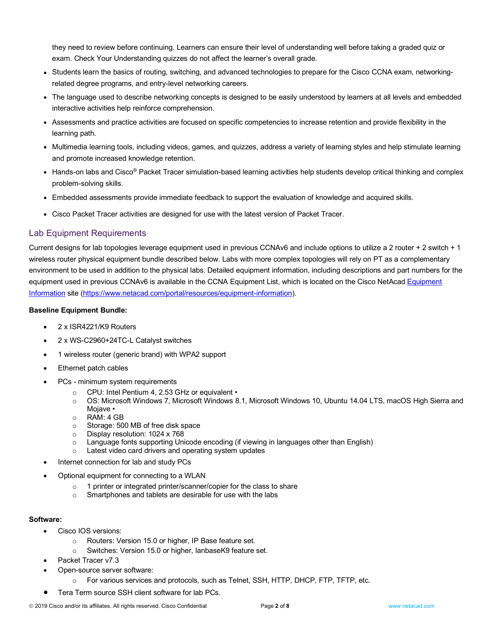they need to review before continuing. Learners can ensure their level of understanding well before taking a graded quiz or exam. Check Your Understanding quizzes do not affect the learner's overall grade.

- Students learn the basics of routing, switching, and advanced technologies to prepare for the Cisco CCNA exam, networkingrelated degree programs, and entry-level networking careers.
- The language used to describe networking concepts is designed to be easily understood by learners at all levels and embedded interactive activities help reinforce comprehension.
- Assessments and practice activities are focused on specific competencies to increase retention and provide flexibility in the learning path.
- Multimedia learning tools, including videos, games, and quizzes, address a variety of learning styles and help stimulate learning and promote increased knowledge retention.
- Hands-on labs and Cisco® Packet Tracer simulation-based learning activities help students develop critical thinking and complex problem-solving skills.
- Embedded assessments provide immediate feedback to support the evaluation of knowledge and acquired skills.
- Cisco Packet Tracer activities are designed for use with the latest version of Packet Tracer.

## Lab Equipment Requirements

Current designs for lab topologies leverage equipment used in previous CCNAv6 and include options to utilize a 2 router + 2 switch + 1 wireless router physical equipment bundle described below. Labs with more complex topologies will rely on PT as a complementary environment to be used in addition to the physical labs. Detailed equipment information, including descriptions and part numbers for the equipment used in previous CCNAv6 is available in the CCNA Equipment List, which is located on the Cisco NetAcad Equipment Information site (https://www.netacad.com/portal/resources/equipment-information).

#### **Baseline Equipment Bundle:**

- 2 x ISR4221/K9 Routers
- 2 x WS-C2960+24TC-L Catalyst switches
- 1 wireless router (generic brand) with WPA2 support
- Ethernet patch cables
- PCs minimum system requirements
	- o CPU: Intel Pentium 4, 2.53 GHz or equivalent •
	- o OS: Microsoft Windows 7, Microsoft Windows 8.1, Microsoft Windows 10, Ubuntu 14.04 LTS, macOS High Sierra and Mojave •
	- o RAM: 4 GB
	- o Storage: 500 MB of free disk space
	- o Display resolution: 1024 x 768
	- $\circ$  Language fonts supporting Unicode encoding (if viewing in languages other than English)
	- o Latest video card drivers and operating system updates
- Internet connection for lab and study PCs
- Optional equipment for connecting to a WLAN
	- o 1 printer or integrated printer/scanner/copier for the class to share
	- o Smartphones and tablets are desirable for use with the labs

#### **Software:**

- Cisco IOS versions:
	- o Routers: Version 15.0 or higher, IP Base feature set.
	- o Switches: Version 15.0 or higher, lanbaseK9 feature set.
- Packet Tracer v7.3
	- Open-source server software:
		- For various services and protocols, such as Telnet, SSH, HTTP, DHCP, FTP, TFTP, etc.
- Tera Term source SSH client software for lab PCs.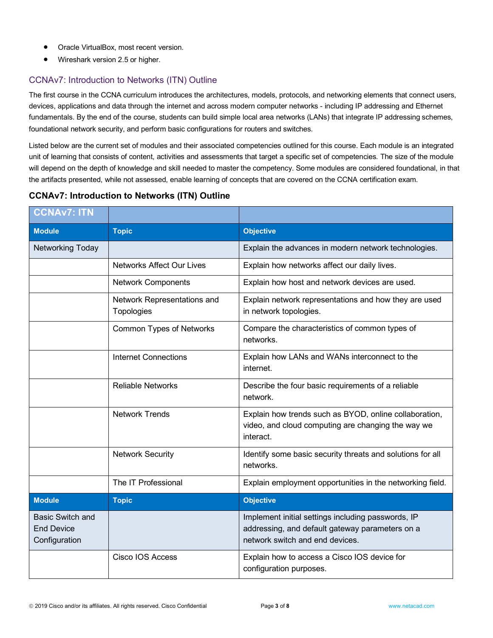- Oracle VirtualBox, most recent version.
- Wireshark version 2.5 or higher.

## CCNAv7: Introduction to Networks (ITN) Outline

The first course in the CCNA curriculum introduces the architectures, models, protocols, and networking elements that connect users, devices, applications and data through the internet and across modern computer networks - including IP addressing and Ethernet fundamentals. By the end of the course, students can build simple local area networks (LANs) that integrate IP addressing schemes, foundational network security, and perform basic configurations for routers and switches.

Listed below are the current set of modules and their associated competencies outlined for this course. Each module is an integrated unit of learning that consists of content, activities and assessments that target a specific set of competencies. The size of the module will depend on the depth of knowledge and skill needed to master the competency. Some modules are considered foundational, in that the artifacts presented, while not assessed, enable learning of concepts that are covered on the CCNA certification exam.

# **CCNAv7: Introduction to Networks (ITN) Outline**

| <b>CCNAv7: ITN</b>                                            |                                           |                                                                                                                                          |
|---------------------------------------------------------------|-------------------------------------------|------------------------------------------------------------------------------------------------------------------------------------------|
| <b>Module</b>                                                 | <b>Topic</b>                              | <b>Objective</b>                                                                                                                         |
| Networking Today                                              |                                           | Explain the advances in modern network technologies.                                                                                     |
|                                                               | <b>Networks Affect Our Lives</b>          | Explain how networks affect our daily lives.                                                                                             |
|                                                               | <b>Network Components</b>                 | Explain how host and network devices are used.                                                                                           |
|                                                               | Network Representations and<br>Topologies | Explain network representations and how they are used<br>in network topologies.                                                          |
|                                                               | Common Types of Networks                  | Compare the characteristics of common types of<br>networks.                                                                              |
|                                                               | <b>Internet Connections</b>               | Explain how LANs and WANs interconnect to the<br>internet.                                                                               |
|                                                               | <b>Reliable Networks</b>                  | Describe the four basic requirements of a reliable<br>network.                                                                           |
|                                                               | <b>Network Trends</b>                     | Explain how trends such as BYOD, online collaboration,<br>video, and cloud computing are changing the way we<br>interact.                |
|                                                               | <b>Network Security</b>                   | Identify some basic security threats and solutions for all<br>networks.                                                                  |
|                                                               | The IT Professional                       | Explain employment opportunities in the networking field.                                                                                |
| <b>Module</b>                                                 | <b>Topic</b>                              | <b>Objective</b>                                                                                                                         |
| <b>Basic Switch and</b><br><b>End Device</b><br>Configuration |                                           | Implement initial settings including passwords, IP<br>addressing, and default gateway parameters on a<br>network switch and end devices. |
|                                                               | Cisco IOS Access                          | Explain how to access a Cisco IOS device for<br>configuration purposes.                                                                  |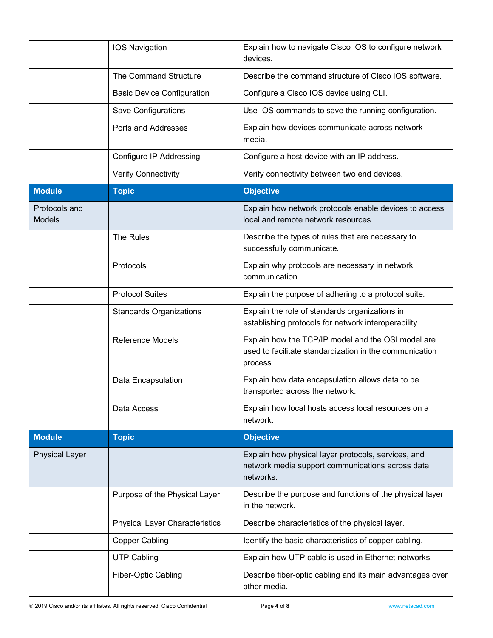|                                | <b>IOS Navigation</b>                 | Explain how to navigate Cisco IOS to configure network<br>devices.                                                        |
|--------------------------------|---------------------------------------|---------------------------------------------------------------------------------------------------------------------------|
|                                | The Command Structure                 | Describe the command structure of Cisco IOS software.                                                                     |
|                                | <b>Basic Device Configuration</b>     | Configure a Cisco IOS device using CLI.                                                                                   |
|                                | Save Configurations                   | Use IOS commands to save the running configuration.                                                                       |
|                                | Ports and Addresses                   | Explain how devices communicate across network<br>media.                                                                  |
|                                | Configure IP Addressing               | Configure a host device with an IP address.                                                                               |
|                                | <b>Verify Connectivity</b>            | Verify connectivity between two end devices.                                                                              |
| <b>Module</b>                  | <b>Topic</b>                          | <b>Objective</b>                                                                                                          |
| Protocols and<br><b>Models</b> |                                       | Explain how network protocols enable devices to access<br>local and remote network resources.                             |
|                                | The Rules                             | Describe the types of rules that are necessary to<br>successfully communicate.                                            |
|                                | Protocols                             | Explain why protocols are necessary in network<br>communication.                                                          |
|                                | <b>Protocol Suites</b>                | Explain the purpose of adhering to a protocol suite.                                                                      |
|                                | <b>Standards Organizations</b>        | Explain the role of standards organizations in<br>establishing protocols for network interoperability.                    |
|                                | <b>Reference Models</b>               | Explain how the TCP/IP model and the OSI model are<br>used to facilitate standardization in the communication<br>process. |
|                                | Data Encapsulation                    | Explain how data encapsulation allows data to be<br>transported across the network.                                       |
|                                | Data Access                           | Explain how local hosts access local resources on a<br>network.                                                           |
| <b>Module</b>                  | <b>Topic</b>                          | <b>Objective</b>                                                                                                          |
| <b>Physical Layer</b>          |                                       | Explain how physical layer protocols, services, and<br>network media support communications across data<br>networks.      |
|                                | Purpose of the Physical Layer         | Describe the purpose and functions of the physical layer<br>in the network.                                               |
|                                | <b>Physical Layer Characteristics</b> | Describe characteristics of the physical layer.                                                                           |
|                                | <b>Copper Cabling</b>                 | Identify the basic characteristics of copper cabling.                                                                     |
|                                | <b>UTP Cabling</b>                    | Explain how UTP cable is used in Ethernet networks.                                                                       |
|                                | <b>Fiber-Optic Cabling</b>            | Describe fiber-optic cabling and its main advantages over<br>other media.                                                 |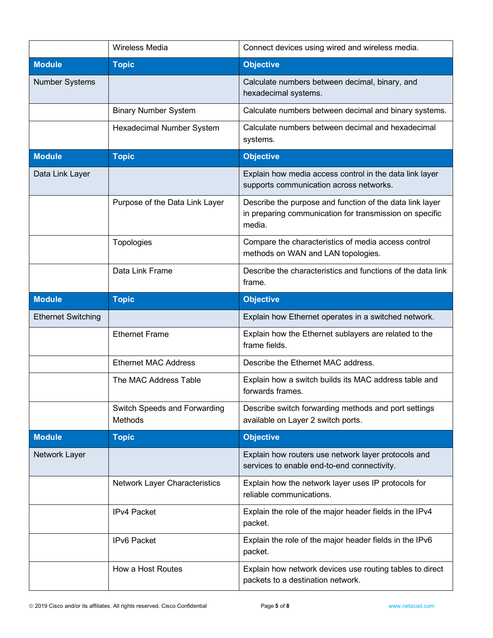|                           | <b>Wireless Media</b>                   | Connect devices using wired and wireless media.                                                                               |
|---------------------------|-----------------------------------------|-------------------------------------------------------------------------------------------------------------------------------|
| <b>Module</b>             | <b>Topic</b>                            | <b>Objective</b>                                                                                                              |
| <b>Number Systems</b>     |                                         | Calculate numbers between decimal, binary, and<br>hexadecimal systems.                                                        |
|                           | <b>Binary Number System</b>             | Calculate numbers between decimal and binary systems.                                                                         |
|                           | Hexadecimal Number System               | Calculate numbers between decimal and hexadecimal<br>systems.                                                                 |
| <b>Module</b>             | <b>Topic</b>                            | <b>Objective</b>                                                                                                              |
| Data Link Layer           |                                         | Explain how media access control in the data link layer<br>supports communication across networks.                            |
|                           | Purpose of the Data Link Layer          | Describe the purpose and function of the data link layer<br>in preparing communication for transmission on specific<br>media. |
|                           | Topologies                              | Compare the characteristics of media access control<br>methods on WAN and LAN topologies.                                     |
|                           | Data Link Frame                         | Describe the characteristics and functions of the data link<br>frame.                                                         |
| <b>Module</b>             | <b>Topic</b>                            | <b>Objective</b>                                                                                                              |
| <b>Ethernet Switching</b> |                                         | Explain how Ethernet operates in a switched network.                                                                          |
|                           | <b>Ethernet Frame</b>                   | Explain how the Ethernet sublayers are related to the<br>frame fields.                                                        |
|                           | <b>Ethernet MAC Address</b>             | Describe the Ethernet MAC address.                                                                                            |
|                           | The MAC Address Table                   | Explain how a switch builds its MAC address table and<br>forwards frames.                                                     |
|                           | Switch Speeds and Forwarding<br>Methods | Describe switch forwarding methods and port settings<br>available on Layer 2 switch ports.                                    |
| <b>Module</b>             | <b>Topic</b>                            | <b>Objective</b>                                                                                                              |
| Network Layer             |                                         | Explain how routers use network layer protocols and<br>services to enable end-to-end connectivity.                            |
|                           | Network Layer Characteristics           | Explain how the network layer uses IP protocols for<br>reliable communications.                                               |
|                           | IPv4 Packet                             | Explain the role of the major header fields in the IPv4<br>packet.                                                            |
|                           | IPv6 Packet                             | Explain the role of the major header fields in the IPv6<br>packet.                                                            |
|                           | How a Host Routes                       | Explain how network devices use routing tables to direct<br>packets to a destination network.                                 |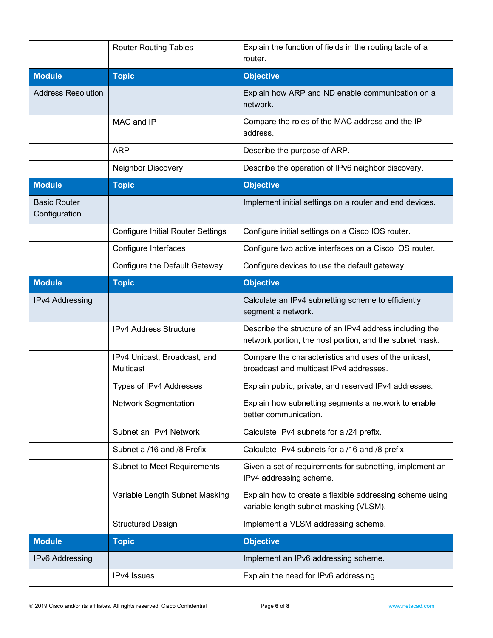|                                      | <b>Router Routing Tables</b>              | Explain the function of fields in the routing table of a<br>router.                                                |
|--------------------------------------|-------------------------------------------|--------------------------------------------------------------------------------------------------------------------|
| <b>Module</b>                        | <b>Topic</b>                              | <b>Objective</b>                                                                                                   |
| <b>Address Resolution</b>            |                                           | Explain how ARP and ND enable communication on a<br>network.                                                       |
|                                      | MAC and IP                                | Compare the roles of the MAC address and the IP<br>address.                                                        |
|                                      | <b>ARP</b>                                | Describe the purpose of ARP.                                                                                       |
|                                      | Neighbor Discovery                        | Describe the operation of IPv6 neighbor discovery.                                                                 |
| <b>Module</b>                        | <b>Topic</b>                              | <b>Objective</b>                                                                                                   |
| <b>Basic Router</b><br>Configuration |                                           | Implement initial settings on a router and end devices.                                                            |
|                                      | <b>Configure Initial Router Settings</b>  | Configure initial settings on a Cisco IOS router.                                                                  |
|                                      | Configure Interfaces                      | Configure two active interfaces on a Cisco IOS router.                                                             |
|                                      | Configure the Default Gateway             | Configure devices to use the default gateway.                                                                      |
| <b>Module</b>                        | <b>Topic</b>                              | <b>Objective</b>                                                                                                   |
| IPv4 Addressing                      |                                           | Calculate an IPv4 subnetting scheme to efficiently<br>segment a network.                                           |
|                                      | IPv4 Address Structure                    | Describe the structure of an IPv4 address including the<br>network portion, the host portion, and the subnet mask. |
|                                      | IPv4 Unicast, Broadcast, and<br>Multicast | Compare the characteristics and uses of the unicast,<br>broadcast and multicast IPv4 addresses.                    |
|                                      | Types of IPv4 Addresses                   | Explain public, private, and reserved IPv4 addresses.                                                              |
|                                      | Network Segmentation                      | Explain how subnetting segments a network to enable<br>better communication.                                       |
|                                      | Subnet an IPv4 Network                    | Calculate IPv4 subnets for a /24 prefix.                                                                           |
|                                      | Subnet a /16 and /8 Prefix                | Calculate IPv4 subnets for a /16 and /8 prefix.                                                                    |
|                                      | Subnet to Meet Requirements               | Given a set of requirements for subnetting, implement an<br>IPv4 addressing scheme.                                |
|                                      | Variable Length Subnet Masking            | Explain how to create a flexible addressing scheme using<br>variable length subnet masking (VLSM).                 |
|                                      | <b>Structured Design</b>                  | Implement a VLSM addressing scheme.                                                                                |
| <b>Module</b>                        | <b>Topic</b>                              | <b>Objective</b>                                                                                                   |
| IPv6 Addressing                      |                                           | Implement an IPv6 addressing scheme.                                                                               |
|                                      | IPv4 Issues                               | Explain the need for IPv6 addressing.                                                                              |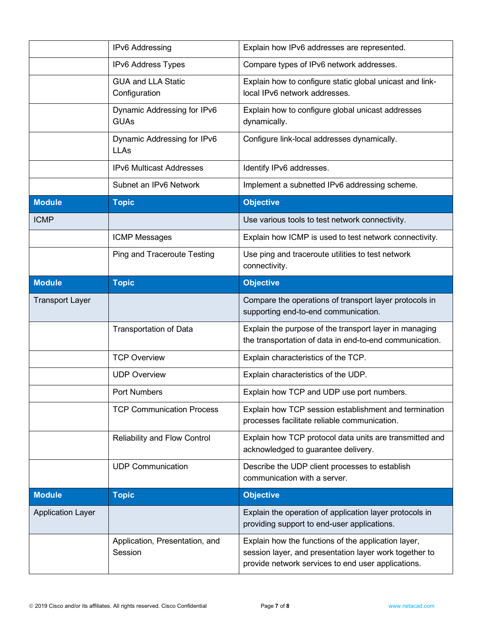|                          | IPv6 Addressing                            | Explain how IPv6 addresses are represented.                                                                       |
|--------------------------|--------------------------------------------|-------------------------------------------------------------------------------------------------------------------|
|                          | IPv6 Address Types                         | Compare types of IPv6 network addresses.                                                                          |
|                          | <b>GUA and LLA Static</b><br>Configuration | Explain how to configure static global unicast and link-<br>local IPv6 network addresses.                         |
|                          | Dynamic Addressing for IPv6<br><b>GUAs</b> | Explain how to configure global unicast addresses<br>dynamically.                                                 |
|                          | Dynamic Addressing for IPv6<br><b>LLAs</b> | Configure link-local addresses dynamically.                                                                       |
|                          | <b>IPv6 Multicast Addresses</b>            | Identify IPv6 addresses.                                                                                          |
|                          | Subnet an IPv6 Network                     | Implement a subnetted IPv6 addressing scheme.                                                                     |
| <b>Module</b>            | <b>Topic</b>                               | <b>Objective</b>                                                                                                  |
| <b>ICMP</b>              |                                            | Use various tools to test network connectivity.                                                                   |
|                          | <b>ICMP Messages</b>                       | Explain how ICMP is used to test network connectivity.                                                            |
|                          | <b>Ping and Traceroute Testing</b>         | Use ping and traceroute utilities to test network<br>connectivity.                                                |
| <b>Module</b>            | <b>Topic</b>                               | <b>Objective</b>                                                                                                  |
| <b>Transport Layer</b>   |                                            | Compare the operations of transport layer protocols in<br>supporting end-to-end communication.                    |
|                          | <b>Transportation of Data</b>              | Explain the purpose of the transport layer in managing<br>the transportation of data in end-to-end communication. |
|                          | <b>TCP Overview</b>                        | Explain characteristics of the TCP.                                                                               |
|                          | <b>UDP Overview</b>                        | Explain characteristics of the UDP.                                                                               |
|                          | <b>Port Numbers</b>                        | Explain how TCP and UDP use port numbers.                                                                         |
|                          | <b>TCP Communication Process</b>           | Explain how TCP session establishment and termination<br>processes facilitate reliable communication.             |
|                          |                                            |                                                                                                                   |
|                          | Reliability and Flow Control               | Explain how TCP protocol data units are transmitted and<br>acknowledged to guarantee delivery.                    |
|                          | <b>UDP Communication</b>                   | Describe the UDP client processes to establish<br>communication with a server.                                    |
| <b>Module</b>            | <b>Topic</b>                               | <b>Objective</b>                                                                                                  |
| <b>Application Layer</b> |                                            | Explain the operation of application layer protocols in<br>providing support to end-user applications.            |